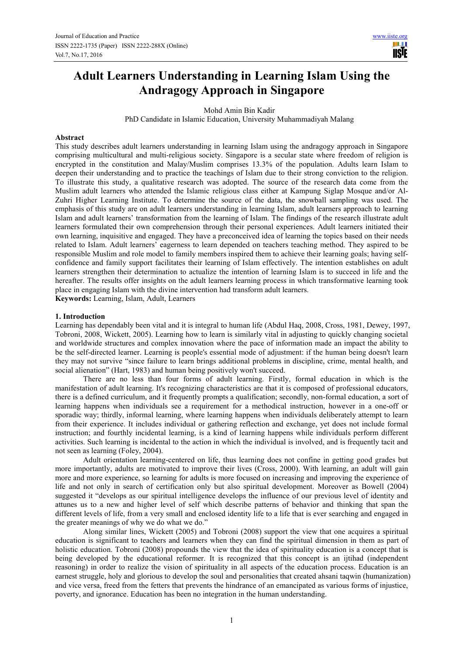**USIE** 

# **Adult Learners Understanding in Learning Islam Using the Andragogy Approach in Singapore**

Mohd Amin Bin Kadir

PhD Candidate in Islamic Education, University Muhammadiyah Malang

#### **Abstract**

This study describes adult learners understanding in learning Islam using the andragogy approach in Singapore comprising multicultural and multi-religious society. Singapore is a secular state where freedom of religion is encrypted in the constitution and Malay/Muslim comprises 13.3% of the population. Adults learn Islam to deepen their understanding and to practice the teachings of Islam due to their strong conviction to the religion. To illustrate this study, a qualitative research was adopted. The source of the research data come from the Muslim adult learners who attended the Islamic religious class either at Kampung Siglap Mosque and/or Al-Zuhri Higher Learning Institute. To determine the source of the data, the snowball sampling was used. The emphasis of this study are on adult learners understanding in learning Islam, adult learners approach to learning Islam and adult learners' transformation from the learning of Islam. The findings of the research illustrate adult learners formulated their own comprehension through their personal experiences. Adult learners initiated their own learning, inquisitive and engaged. They have a preconceived idea of learning the topics based on their needs related to Islam. Adult learners' eagerness to learn depended on teachers teaching method. They aspired to be responsible Muslim and role model to family members inspired them to achieve their learning goals; having selfconfidence and family support facilitates their learning of Islam effectively. The intention establishes on adult learners strengthen their determination to actualize the intention of learning Islam is to succeed in life and the hereafter. The results offer insights on the adult learners learning process in which transformative learning took place in engaging Islam with the divine intervention had transform adult learners.

**Keywords:** Learning, Islam, Adult, Learners

#### **1. Introduction**

Learning has dependably been vital and it is integral to human life (Abdul Haq, 2008, Cross, 1981, Dewey, 1997, Tobroni, 2008, Wickett, 2005). Learning how to learn is similarly vital in adjusting to quickly changing societal and worldwide structures and complex innovation where the pace of information made an impact the ability to be the self-directed learner. Learning is people's essential mode of adjustment: if the human being doesn't learn they may not survive "since failure to learn brings additional problems in discipline, crime, mental health, and social alienation" (Hart, 1983) and human being positively won't succeed.

There are no less than four forms of adult learning. Firstly, formal education in which is the manifestation of adult learning. It's recognizing characteristics are that it is composed of professional educators, there is a defined curriculum, and it frequently prompts a qualification; secondly, non-formal education, a sort of learning happens when individuals see a requirement for a methodical instruction, however in a one-off or sporadic way; thirdly, informal learning, where learning happens when individuals deliberately attempt to learn from their experience. It includes individual or gathering reflection and exchange, yet does not include formal instruction; and fourthly incidental learning, is a kind of learning happens while individuals perform different activities. Such learning is incidental to the action in which the individual is involved, and is frequently tacit and not seen as learning (Foley, 2004).

Adult orientation learning-centered on life, thus learning does not confine in getting good grades but more importantly, adults are motivated to improve their lives (Cross, 2000). With learning, an adult will gain more and more experience, so learning for adults is more focused on increasing and improving the experience of life and not only in search of certification only but also spiritual development. Moreover as Bowell (2004) suggested it "develops as our spiritual intelligence develops the influence of our previous level of identity and attunes us to a new and higher level of self which describe patterns of behavior and thinking that span the different levels of life, from a very small and enclosed identity life to a life that is ever searching and engaged in the greater meanings of why we do what we do."

Along similar lines, Wickett (2005) and Tobroni (2008) support the view that one acquires a spiritual education is significant to teachers and learners when they can find the spiritual dimension in them as part of holistic education. Tobroni (2008) propounds the view that the idea of spirituality education is a concept that is being developed by the educational reformer. It is recognized that this concept is an ijtihad (independent reasoning) in order to realize the vision of spirituality in all aspects of the education process. Education is an earnest struggle, holy and glorious to develop the soul and personalities that created ahsani taqwin (humanization) and vice versa, freed from the fetters that prevents the hindrance of an emancipated as various forms of injustice, poverty, and ignorance. Education has been no integration in the human understanding.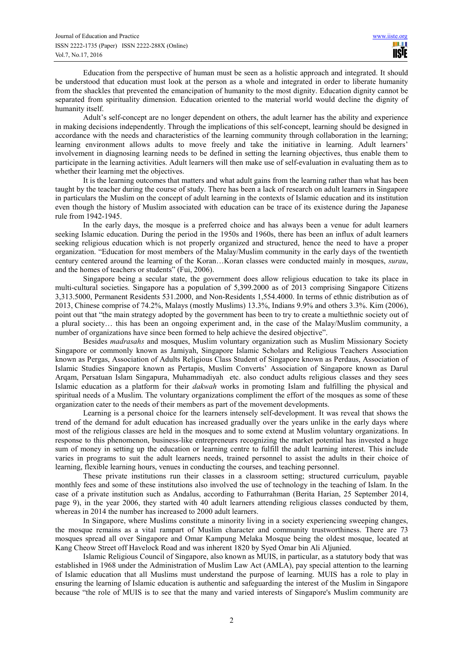Education from the perspective of human must be seen as a holistic approach and integrated. It should be understood that education must look at the person as a whole and integrated in order to liberate humanity from the shackles that prevented the emancipation of humanity to the most dignity. Education dignity cannot be separated from spirituality dimension. Education oriented to the material world would decline the dignity of humanity itself.

Adult's self-concept are no longer dependent on others, the adult learner has the ability and experience in making decisions independently. Through the implications of this self-concept, learning should be designed in accordance with the needs and characteristics of the learning community through collaboration in the learning; learning environment allows adults to move freely and take the initiative in learning. Adult learners' involvement in diagnosing learning needs to be defined in setting the learning objectives, thus enable them to participate in the learning activities. Adult learners will then make use of self-evaluation in evaluating them as to whether their learning met the objectives.

It is the learning outcomes that matters and what adult gains from the learning rather than what has been taught by the teacher during the course of study. There has been a lack of research on adult learners in Singapore in particulars the Muslim on the concept of adult learning in the contexts of Islamic education and its institution even though the history of Muslim associated with education can be trace of its existence during the Japanese rule from 1942-1945.

In the early days, the mosque is a preferred choice and has always been a venue for adult learners seeking Islamic education. During the period in the 1950s and 1960s, there has been an influx of adult learners seeking religious education which is not properly organized and structured, hence the need to have a proper organization. "Education for most members of the Malay/Muslim community in the early days of the twentieth century centered around the learning of the Koran…Koran classes were conducted mainly in mosques, *surau*, and the homes of teachers or students" (Fui, 2006).

Singapore being a secular state, the government does allow religious education to take its place in multi-cultural societies. Singapore has a population of 5,399.2000 as of 2013 comprising Singapore Citizens 3,313.5000, Permanent Residents 531.2000, and Non-Residents 1,554.4000. In terms of ethnic distribution as of 2013, Chinese comprise of 74.2%, Malays (mostly Muslims) 13.3%, Indians 9.9% and others 3.3%. Kim (2006), point out that "the main strategy adopted by the government has been to try to create a multiethnic society out of a plural society… this has been an ongoing experiment and, in the case of the Malay/Muslim community, a number of organizations have since been formed to help achieve the desired objective".

Besides *madrasahs* and mosques, Muslim voluntary organization such as Muslim Missionary Society Singapore or commonly known as Jamiyah, Singapore Islamic Scholars and Religious Teachers Association known as Pergas, Association of Adults Religious Class Student of Singapore known as Perdaus, Association of Islamic Studies Singapore known as Pertapis, Muslim Converts' Association of Singapore known as Darul Arqam, Persatuan Islam Singapura, Muhammadiyah etc. also conduct adults religious classes and they sees Islamic education as a platform for their *dakwah* works in promoting Islam and fulfilling the physical and spiritual needs of a Muslim. The voluntary organizations compliment the effort of the mosques as some of these organization cater to the needs of their members as part of the movement developments.

Learning is a personal choice for the learners intensely self-development. It was reveal that shows the trend of the demand for adult education has increased gradually over the years unlike in the early days where most of the religious classes are held in the mosques and to some extend at Muslim voluntary organizations. In response to this phenomenon, business-like entrepreneurs recognizing the market potential has invested a huge sum of money in setting up the education or learning centre to fulfill the adult learning interest. This include varies in programs to suit the adult learners needs, trained personnel to assist the adults in their choice of learning, flexible learning hours, venues in conducting the courses, and teaching personnel.

These private institutions run their classes in a classroom setting; structured curriculum, payable monthly fees and some of these institutions also involved the use of technology in the teaching of Islam. In the case of a private institution such as Andalus, according to Fathurrahman (Berita Harian, 25 September 2014, page 9), in the year 2006, they started with 40 adult learners attending religious classes conducted by them, whereas in 2014 the number has increased to 2000 adult learners.

In Singapore, where Muslims constitute a minority living in a society experiencing sweeping changes, the mosque remains as a vital rampart of Muslim character and community trustworthiness. There are 73 mosques spread all over Singapore and Omar Kampung Melaka Mosque being the oldest mosque, located at Kang Cheow Street off Havelock Road and was inherent 1820 by Syed Omar bin Ali Aljunied.

Islamic Religious Council of Singapore, also known as MUIS, in particular, as a statutory body that was established in 1968 under the Administration of Muslim Law Act (AMLA), pay special attention to the learning of Islamic education that all Muslims must understand the purpose of learning. MUIS has a role to play in ensuring the learning of Islamic education is authentic and safeguarding the interest of the Muslim in Singapore because "the role of MUIS is to see that the many and varied interests of Singapore's Muslim community are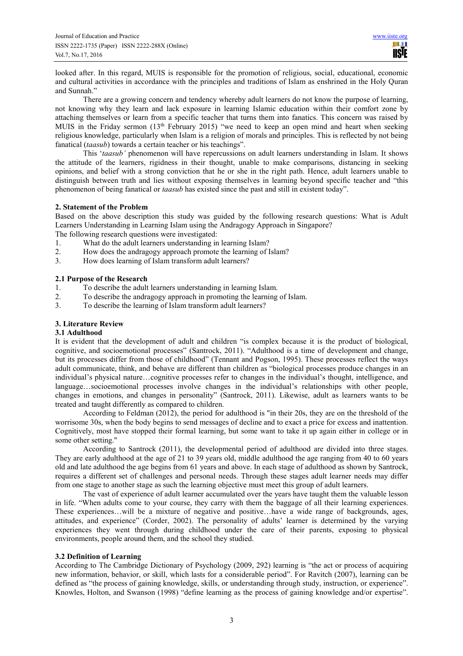looked after. In this regard, MUIS is responsible for the promotion of religious, social, educational, economic and cultural activities in accordance with the principles and traditions of Islam as enshrined in the Holy Quran and Sunnah."

There are a growing concern and tendency whereby adult learners do not know the purpose of learning, not knowing why they learn and lack exposure in learning Islamic education within their comfort zone by attaching themselves or learn from a specific teacher that turns them into fanatics. This concern was raised by MUIS in the Friday sermon (13<sup>th</sup> February 2015) "we need to keep an open mind and heart when seeking religious knowledge, particularly when Islam is a religion of morals and principles. This is reflected by not being fanatical (*taasub*) towards a certain teacher or his teachings".

This '*taasub'* phenomenon will have repercussions on adult learners understanding in Islam. It shows the attitude of the learners, rigidness in their thought, unable to make comparisons, distancing in seeking opinions, and belief with a strong conviction that he or she in the right path. Hence, adult learners unable to distinguish between truth and lies without exposing themselves in learning beyond specific teacher and "this phenomenon of being fanatical or *taasub* has existed since the past and still in existent today".

## **2. Statement of the Problem**

Based on the above description this study was guided by the following research questions: What is Adult Learners Understanding in Learning Islam using the Andragogy Approach in Singapore?

The following research questions were investigated:

- 1. What do the adult learners understanding in learning Islam?
- 2. How does the andragogy approach promote the learning of Islam?
- 3. How does learning of Islam transform adult learners?

## **2.1 Purpose of the Research**

- 1. To describe the adult learners understanding in learning Islam.<br>2. To describe the andragogy approach in promoting the learning
- 2. To describe the andragogy approach in promoting the learning of Islam.
- 3. To describe the learning of Islam transform adult learners?

# **3. Literature Review**

## **3.1 Adulthood**

It is evident that the development of adult and children "is complex because it is the product of biological, cognitive, and socioemotional processes" (Santrock, 2011). "Adulthood is a time of development and change, but its processes differ from those of childhood" (Tennant and Pogson, 1995). These processes reflect the ways adult communicate, think, and behave are different than children as "biological processes produce changes in an individual's physical nature…cognitive processes refer to changes in the individual's thought, intelligence, and language…socioemotional processes involve changes in the individual's relationships with other people, changes in emotions, and changes in personality" (Santrock, 2011). Likewise, adult as learners wants to be treated and taught differently as compared to children.

According to Feldman (2012), the period for adulthood is "in their 20s, they are on the threshold of the worrisome 30s, when the body begins to send messages of decline and to exact a price for excess and inattention. Cognitively, most have stopped their formal learning, but some want to take it up again either in college or in some other setting."

According to Santrock (2011), the developmental period of adulthood are divided into three stages. They are early adulthood at the age of 21 to 39 years old, middle adulthood the age ranging from 40 to 60 years old and late adulthood the age begins from 61 years and above. In each stage of adulthood as shown by Santrock, requires a different set of challenges and personal needs. Through these stages adult learner needs may differ from one stage to another stage as such the learning objective must meet this group of adult learners.

The vast of experience of adult learner accumulated over the years have taught them the valuable lesson in life. "When adults come to your course, they carry with them the baggage of all their learning experiences. These experiences…will be a mixture of negative and positive…have a wide range of backgrounds, ages, attitudes, and experience" (Corder, 2002). The personality of adults' learner is determined by the varying experiences they went through during childhood under the care of their parents, exposing to physical environments, people around them, and the school they studied.

## **3.2 Definition of Learning**

According to The Cambridge Dictionary of Psychology (2009, 292) learning is "the act or process of acquiring new information, behavior, or skill, which lasts for a considerable period". For Ravitch (2007), learning can be defined as "the process of gaining knowledge, skills, or understanding through study, instruction, or experience". Knowles, Holton, and Swanson (1998) "define learning as the process of gaining knowledge and/or expertise".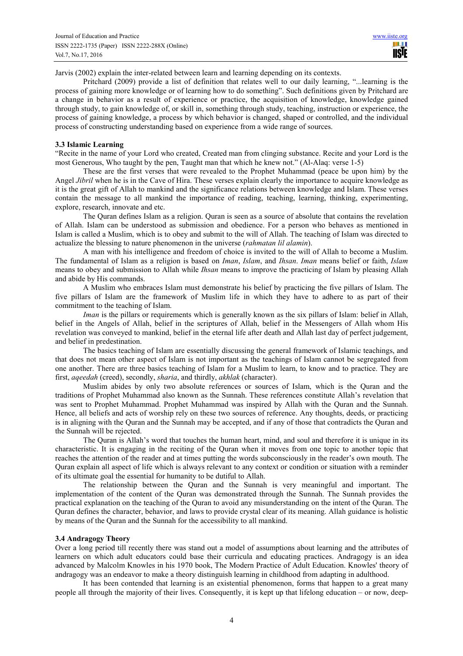Jarvis (2002) explain the inter-related between learn and learning depending on its contexts.

Pritchard (2009) provide a list of definition that relates well to our daily learning, "...learning is the process of gaining more knowledge or of learning how to do something". Such definitions given by Pritchard are a change in behavior as a result of experience or practice, the acquisition of knowledge, knowledge gained through study, to gain knowledge of, or skill in, something through study, teaching, instruction or experience, the process of gaining knowledge, a process by which behavior is changed, shaped or controlled, and the individual process of constructing understanding based on experience from a wide range of sources.

#### **3.3 Islamic Learning**

"Recite in the name of your Lord who created, Created man from clinging substance. Recite and your Lord is the most Generous, Who taught by the pen, Taught man that which he knew not." (Al-Alaq: verse 1-5)

These are the first verses that were revealed to the Prophet Muhammad (peace be upon him) by the Angel *Jibril* when he is in the Cave of Hira. These verses explain clearly the importance to acquire knowledge as it is the great gift of Allah to mankind and the significance relations between knowledge and Islam. These verses contain the message to all mankind the importance of reading, teaching, learning, thinking, experimenting, explore, research, innovate and etc.

The Quran defines Islam as a religion. Quran is seen as a source of absolute that contains the revelation of Allah. Islam can be understood as submission and obedience. For a person who behaves as mentioned in Islam is called a Muslim, which is to obey and submit to the will of Allah. The teaching of Islam was directed to actualize the blessing to nature phenomenon in the universe (*rahmatan lil alamin*).

A man with his intelligence and freedom of choice is invited to the will of Allah to become a Muslim. The fundamental of Islam as a religion is based on *Iman*, *Islam*, and *Ihsan*. *Iman* means belief or faith, *Islam* means to obey and submission to Allah while *Ihsan* means to improve the practicing of Islam by pleasing Allah and abide by His commands.

A Muslim who embraces Islam must demonstrate his belief by practicing the five pillars of Islam. The five pillars of Islam are the framework of Muslim life in which they have to adhere to as part of their commitment to the teaching of Islam.

*Iman* is the pillars or requirements which is generally known as the six pillars of Islam: belief in Allah, belief in the Angels of Allah, belief in the scriptures of Allah, belief in the Messengers of Allah whom His revelation was conveyed to mankind, belief in the eternal life after death and Allah last day of perfect judgement, and belief in predestination.

The basics teaching of Islam are essentially discussing the general framework of Islamic teachings, and that does not mean other aspect of Islam is not important as the teachings of Islam cannot be segregated from one another. There are three basics teaching of Islam for a Muslim to learn, to know and to practice. They are first, *aqeedah* (creed), secondly, *sharia*, and thirdly, *akhlak* (character).

Muslim abides by only two absolute references or sources of Islam, which is the Quran and the traditions of Prophet Muhammad also known as the Sunnah. These references constitute Allah's revelation that was sent to Prophet Muhammad. Prophet Muhammad was inspired by Allah with the Quran and the Sunnah. Hence, all beliefs and acts of worship rely on these two sources of reference. Any thoughts, deeds, or practicing is in aligning with the Quran and the Sunnah may be accepted, and if any of those that contradicts the Quran and the Sunnah will be rejected.

The Quran is Allah's word that touches the human heart, mind, and soul and therefore it is unique in its characteristic. It is engaging in the reciting of the Quran when it moves from one topic to another topic that reaches the attention of the reader and at times putting the words subconsciously in the reader's own mouth. The Quran explain all aspect of life which is always relevant to any context or condition or situation with a reminder of its ultimate goal the essential for humanity to be dutiful to Allah.

The relationship between the Quran and the Sunnah is very meaningful and important. The implementation of the content of the Quran was demonstrated through the Sunnah. The Sunnah provides the practical explanation on the teaching of the Quran to avoid any misunderstanding on the intent of the Quran. The Quran defines the character, behavior, and laws to provide crystal clear of its meaning. Allah guidance is holistic by means of the Quran and the Sunnah for the accessibility to all mankind.

#### **3.4 Andragogy Theory**

Over a long period till recently there was stand out a model of assumptions about learning and the attributes of learners on which adult educators could base their curricula and educating practices. Andragogy is an idea advanced by Malcolm Knowles in his 1970 book, The Modern Practice of Adult Education. Knowles' theory of andragogy was an endeavor to make a theory distinguish learning in childhood from adapting in adulthood.

It has been contended that learning is an existential phenomenon, forms that happen to a great many people all through the majority of their lives. Consequently, it is kept up that lifelong education – or now, deep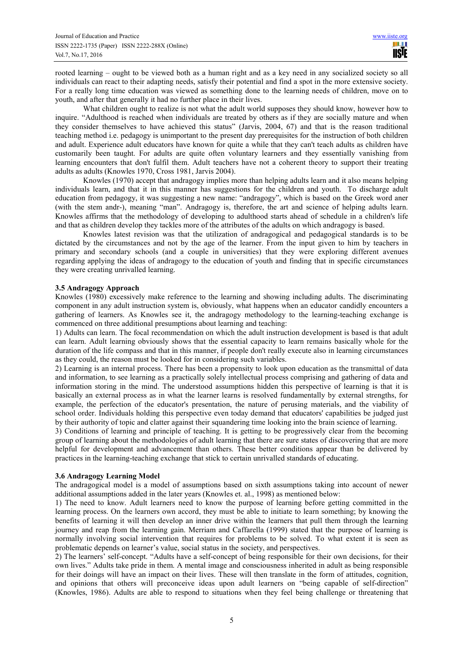rooted learning – ought to be viewed both as a human right and as a key need in any socialized society so all individuals can react to their adapting needs, satisfy their potential and find a spot in the more extensive society. For a really long time education was viewed as something done to the learning needs of children, move on to youth, and after that generally it had no further place in their lives.

What children ought to realize is not what the adult world supposes they should know, however how to inquire. "Adulthood is reached when individuals are treated by others as if they are socially mature and when they consider themselves to have achieved this status" (Jarvis, 2004, 67) and that is the reason traditional teaching method i.e. pedagogy is unimportant to the present day prerequisites for the instruction of both children and adult. Experience adult educators have known for quite a while that they can't teach adults as children have customarily been taught. For adults are quite often voluntary learners and they essentially vanishing from learning encounters that don't fulfil them. Adult teachers have not a coherent theory to support their treating adults as adults (Knowles 1970, Cross 1981, Jarvis 2004).

Knowles (1970) accept that andragogy implies more than helping adults learn and it also means helping individuals learn, and that it in this manner has suggestions for the children and youth. To discharge adult education from pedagogy, it was suggesting a new name: "andragogy", which is based on the Greek word aner (with the stem andr-), meaning "man". Andragogy is, therefore, the art and science of helping adults learn. Knowles affirms that the methodology of developing to adulthood starts ahead of schedule in a children's life and that as children develop they tackles more of the attributes of the adults on which andragogy is based.

Knowles latest revision was that the utilization of andragogical and pedagogical standards is to be dictated by the circumstances and not by the age of the learner. From the input given to him by teachers in primary and secondary schools (and a couple in universities) that they were exploring different avenues regarding applying the ideas of andragogy to the education of youth and finding that in specific circumstances they were creating unrivalled learning.

## **3.5 Andragogy Approach**

Knowles (1980) excessively make reference to the learning and showing including adults. The discriminating component in any adult instruction system is, obviously, what happens when an educator candidly encounters a gathering of learners. As Knowles see it, the andragogy methodology to the learning-teaching exchange is commenced on three additional presumptions about learning and teaching:

1) Adults can learn. The focal recommendation on which the adult instruction development is based is that adult can learn. Adult learning obviously shows that the essential capacity to learn remains basically whole for the duration of the life compass and that in this manner, if people don't really execute also in learning circumstances as they could, the reason must be looked for in considering such variables.

2) Learning is an internal process. There has been a propensity to look upon education as the transmittal of data and information, to see learning as a practically solely intellectual process comprising and gathering of data and information storing in the mind. The understood assumptions hidden this perspective of learning is that it is basically an external process as in what the learner learns is resolved fundamentally by external strengths, for example, the perfection of the educator's presentation, the nature of perusing materials, and the viability of school order. Individuals holding this perspective even today demand that educators' capabilities be judged just by their authority of topic and clatter against their squandering time looking into the brain science of learning.

3) Conditions of learning and principle of teaching. It is getting to be progressively clear from the becoming group of learning about the methodologies of adult learning that there are sure states of discovering that are more helpful for development and advancement than others. These better conditions appear than be delivered by practices in the learning-teaching exchange that stick to certain unrivalled standards of educating.

## **3.6 Andragogy Learning Model**

The andragogical model is a model of assumptions based on sixth assumptions taking into account of newer additional assumptions added in the later years (Knowles et. al., 1998) as mentioned below:

1) The need to know. Adult learners need to know the purpose of learning before getting committed in the learning process. On the learners own accord, they must be able to initiate to learn something; by knowing the benefits of learning it will then develop an inner drive within the learners that pull them through the learning journey and reap from the learning gain. Merriam and Caffarella (1999) stated that the purpose of learning is normally involving social intervention that requires for problems to be solved. To what extent it is seen as problematic depends on learner's value, social status in the society, and perspectives.

2) The learners' self-concept. "Adults have a self-concept of being responsible for their own decisions, for their own lives." Adults take pride in them. A mental image and consciousness inherited in adult as being responsible for their doings will have an impact on their lives. These will then translate in the form of attitudes, cognition, and opinions that others will preconceive ideas upon adult learners on "being capable of self-direction" (Knowles, 1986). Adults are able to respond to situations when they feel being challenge or threatening that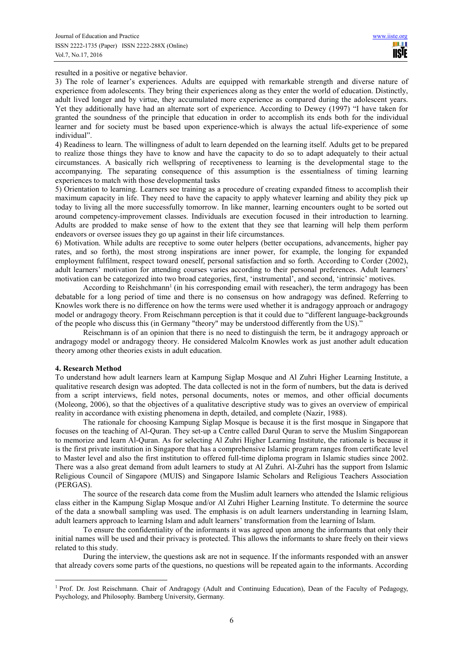resulted in a positive or negative behavior.

3) The role of learner's experiences. Adults are equipped with remarkable strength and diverse nature of experience from adolescents. They bring their experiences along as they enter the world of education. Distinctly, adult lived longer and by virtue, they accumulated more experience as compared during the adolescent years. Yet they additionally have had an alternate sort of experience. According to Dewey (1997) "I have taken for granted the soundness of the principle that education in order to accomplish its ends both for the individual learner and for society must be based upon experience-which is always the actual life-experience of some individual".

4) Readiness to learn. The willingness of adult to learn depended on the learning itself. Adults get to be prepared to realize those things they have to know and have the capacity to do so to adapt adequately to their actual circumstances. A basically rich wellspring of receptiveness to learning is the developmental stage to the accompanying. The separating consequence of this assumption is the essentialness of timing learning experiences to match with those developmental tasks

5) Orientation to learning. Learners see training as a procedure of creating expanded fitness to accomplish their maximum capacity in life. They need to have the capacity to apply whatever learning and ability they pick up today to living all the more successfully tomorrow. In like manner, learning encounters ought to be sorted out around competency-improvement classes. Individuals are execution focused in their introduction to learning. Adults are prodded to make sense of how to the extent that they see that learning will help them perform endeavors or oversee issues they go up against in their life circumstances.

6) Motivation. While adults are receptive to some outer helpers (better occupations, advancements, higher pay rates, and so forth), the most strong inspirations are inner power, for example, the longing for expanded employment fulfilment, respect toward oneself, personal satisfaction and so forth. According to Corder (2002), adult learners' motivation for attending courses varies according to their personal preferences. Adult learners' motivation can be categorized into two broad categories, first, 'instrumental', and second, 'intrinsic' motives.

According to Reishchmann<sup>1</sup> (in his corresponding email with reseacher), the term andragogy has been debatable for a long period of time and there is no consensus on how andragogy was defined. Referring to Knowles work there is no difference on how the terms were used whether it is andragogy approach or andragogy model or andragogy theory. From Reischmann perception is that it could due to "different language-backgrounds of the people who discuss this (in Germany "theory" may be understood differently from the US)."

Reischmann is of an opinion that there is no need to distinguish the term, be it andragogy approach or andragogy model or andragogy theory. He considered Malcolm Knowles work as just another adult education theory among other theories exists in adult education.

#### **4. Research Method**

 $\overline{a}$ 

To understand how adult learners learn at Kampung Siglap Mosque and Al Zuhri Higher Learning Institute, a qualitative research design was adopted. The data collected is not in the form of numbers, but the data is derived from a script interviews, field notes, personal documents, notes or memos, and other official documents (Moleong, 2006), so that the objectives of a qualitative descriptive study was to gives an overview of empirical reality in accordance with existing phenomena in depth, detailed, and complete (Nazir, 1988).

The rationale for choosing Kampung Siglap Mosque is because it is the first mosque in Singapore that focuses on the teaching of Al-Quran. They set-up a Centre called Darul Quran to serve the Muslim Singaporean to memorize and learn Al-Quran. As for selecting Al Zuhri Higher Learning Institute, the rationale is because it is the first private institution in Singapore that has a comprehensive Islamic program ranges from certificate level to Master level and also the first institution to offered full-time diploma program in Islamic studies since 2002. There was a also great demand from adult learners to study at Al Zuhri. Al-Zuhri has the support from Islamic Religious Council of Singapore (MUIS) and Singapore Islamic Scholars and Religious Teachers Association (PERGAS).

The source of the research data come from the Muslim adult learners who attended the Islamic religious class either in the Kampung Siglap Mosque and/or Al Zuhri Higher Learning Institute. To determine the source of the data a snowball sampling was used. The emphasis is on adult learners understanding in learning Islam, adult learners approach to learning Islam and adult learners' transformation from the learning of Islam.

To ensure the confidentiality of the informants it was agreed upon among the informants that only their initial names will be used and their privacy is protected. This allows the informants to share freely on their views related to this study.

During the interview, the questions ask are not in sequence. If the informants responded with an answer that already covers some parts of the questions, no questions will be repeated again to the informants. According

<sup>&</sup>lt;sup>1</sup> Prof. Dr. Jost Reischmann. Chair of Andragogy (Adult and Continuing Education), Dean of the Faculty of Pedagogy, Psychology, and Philosophy. Bamberg University, Germany.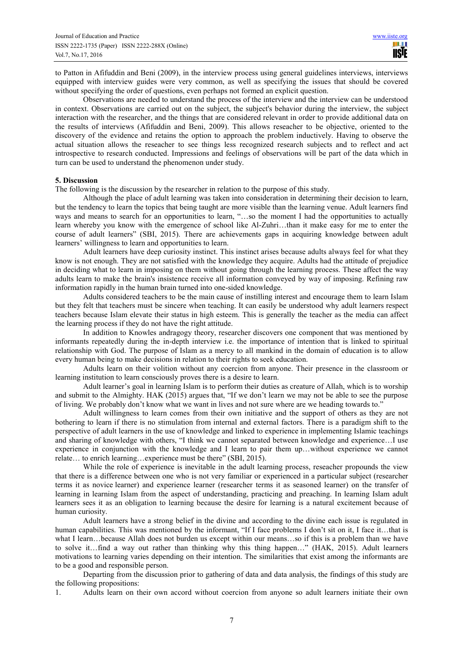to Patton in Afifuddin and Beni (2009), in the interview process using general guidelines interviews, interviews equipped with interview guides were very common, as well as specifying the issues that should be covered without specifying the order of questions, even perhaps not formed an explicit question.

Observations are needed to understand the process of the interview and the interview can be understood in context. Observations are carried out on the subject, the subject's behavior during the interview, the subject interaction with the researcher, and the things that are considered relevant in order to provide additional data on the results of interviews (Afifuddin and Beni, 2009). This allows reseacher to be objective, oriented to the discovery of the evidence and retains the option to approach the problem inductively. Having to observe the actual situation allows the reseacher to see things less recognized research subjects and to reflect and act introspective to research conducted. Impressions and feelings of observations will be part of the data which in turn can be used to understand the phenomenon under study.

#### **5. Discussion**

The following is the discussion by the researcher in relation to the purpose of this study.

Although the place of adult learning was taken into consideration in determining their decision to learn, but the tendency to learn the topics that being taught are more visible than the learning venue. Adult learners find ways and means to search for an opportunities to learn, "...so the moment I had the opportunities to actually learn whereby you know with the emergence of school like Al-Zuhri…than it make easy for me to enter the course of adult learners" (SBI, 2015). There are achievements gaps in acquiring knowledge between adult learners' willingness to learn and opportunities to learn.

Adult learners have deep curiosity instinct. This instinct arises because adults always feel for what they know is not enough. They are not satisfied with the knowledge they acquire. Adults had the attitude of prejudice in deciding what to learn in imposing on them without going through the learning process. These affect the way adults learn to make the brain's insistence receive all information conveyed by way of imposing. Refining raw information rapidly in the human brain turned into one-sided knowledge.

Adults considered teachers to be the main cause of instilling interest and encourage them to learn Islam but they felt that teachers must be sincere when teaching. It can easily be understood why adult learners respect teachers because Islam elevate their status in high esteem. This is generally the teacher as the media can affect the learning process if they do not have the right attitude.

In addition to Knowles andragogy theory, researcher discovers one component that was mentioned by informants repeatedly during the in-depth interview i.e. the importance of intention that is linked to spiritual relationship with God. The purpose of Islam as a mercy to all mankind in the domain of education is to allow every human being to make decisions in relation to their rights to seek education.

Adults learn on their volition without any coercion from anyone. Their presence in the classroom or learning institution to learn consciously proves there is a desire to learn.

Adult learner's goal in learning Islam is to perform their duties as creature of Allah, which is to worship and submit to the Almighty. HAK (2015) argues that, "If we don't learn we may not be able to see the purpose of living. We probably don't know what we want in lives and not sure where are we heading towards to."

Adult willingness to learn comes from their own initiative and the support of others as they are not bothering to learn if there is no stimulation from internal and external factors. There is a paradigm shift to the perspective of adult learners in the use of knowledge and linked to experience in implementing Islamic teachings and sharing of knowledge with others, "I think we cannot separated between knowledge and experience…I use experience in conjunction with the knowledge and I learn to pair them up…without experience we cannot relate… to enrich learning…experience must be there" (SBI, 2015).

While the role of experience is inevitable in the adult learning process, reseacher propounds the view that there is a difference between one who is not very familiar or experienced in a particular subject (researcher terms it as novice learner) and experience learner (researcher terms it as seasoned learner) on the transfer of learning in learning Islam from the aspect of understanding, practicing and preaching. In learning Islam adult learners sees it as an obligation to learning because the desire for learning is a natural excitement because of human curiosity.

Adult learners have a strong belief in the divine and according to the divine each issue is regulated in human capabilities. This was mentioned by the informant, "If I face problems I don't sit on it, I face it...that is what I learn…because Allah does not burden us except within our means…so if this is a problem than we have to solve it…find a way out rather than thinking why this thing happen…" (HAK, 2015). Adult learners motivations to learning varies depending on their intention. The similarities that exist among the informants are to be a good and responsible person.

Departing from the discussion prior to gathering of data and data analysis, the findings of this study are the following propositions:

1. Adults learn on their own accord without coercion from anyone so adult learners initiate their own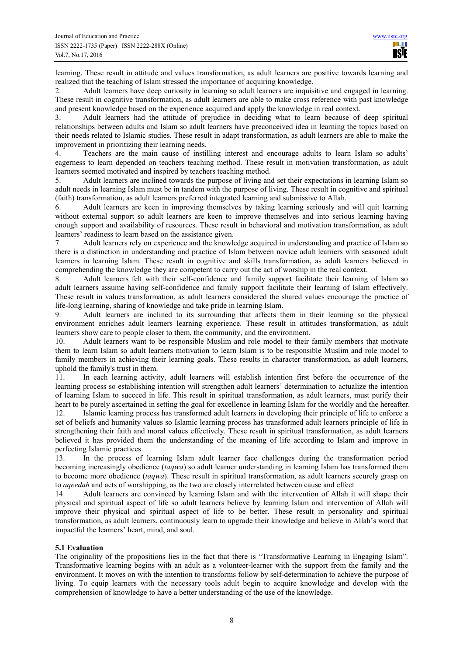learning. These result in attitude and values transformation, as adult learners are positive towards learning and realized that the teaching of Islam stressed the importance of acquiring knowledge.

2. Adult learners have deep curiosity in learning so adult learners are inquisitive and engaged in learning. These result in cognitive transformation, as adult learners are able to make cross reference with past knowledge and present knowledge based on the experience acquired and apply the knowledge in real context.

3. Adult learners had the attitude of prejudice in deciding what to learn because of deep spiritual relationships between adults and Islam so adult learners have preconceived idea in learning the topics based on their needs related to Islamic studies. These result in adapt transformation, as adult learners are able to make the improvement in prioritizing their learning needs.

4. Teachers are the main cause of instilling interest and encourage adults to learn Islam so adults' eagerness to learn depended on teachers teaching method. These result in motivation transformation, as adult learners seemed motivated and inspired by teachers teaching method.

5. Adult learners are inclined towards the purpose of living and set their expectations in learning Islam so adult needs in learning Islam must be in tandem with the purpose of living. These result in cognitive and spiritual (faith) transformation, as adult learners preferred integrated learning and submissive to Allah.

6. Adult learners are keen in improving themselves by taking learning seriously and will quit learning without external support so adult learners are keen to improve themselves and into serious learning having enough support and availability of resources. These result in behavioral and motivation transformation, as adult learners' readiness to learn based on the assistance given.

7. Adult learners rely on experience and the knowledge acquired in understanding and practice of Islam so there is a distinction in understanding and practice of Islam between novice adult learners with seasoned adult learners in learning Islam. These result in cognitive and skills transformation, as adult learners believed in comprehending the knowledge they are competent to carry out the act of worship in the real context.

8. Adult learners felt with their self-confidence and family support facilitate their learning of Islam so adult learners assume having self-confidence and family support facilitate their learning of Islam effectively. These result in values transformation, as adult learners considered the shared values encourage the practice of life-long learning, sharing of knowledge and take pride in learning Islam.

9. Adult learners are inclined to its surrounding that affects them in their learning so the physical environment enriches adult learners learning experience. These result in attitudes transformation, as adult learners show care to people closer to them, the community, and the environment.

10. Adult learners want to be responsible Muslim and role model to their family members that motivate them to learn Islam so adult learners motivation to learn Islam is to be responsible Muslim and role model to family members in achieving their learning goals. These results in character transformation, as adult learners, uphold the family's trust in them.

11. In each learning activity, adult learners will establish intention first before the occurrence of the learning process so establishing intention will strengthen adult learners' determination to actualize the intention of learning Islam to succeed in life. This result in spiritual transformation, as adult learners, must purify their heart to be purely ascertained in setting the goal for excellence in learning Islam for the worldly and the hereafter.

12. Islamic learning process has transformed adult learners in developing their principle of life to enforce a set of beliefs and humanity values so Islamic learning process has transformed adult learners principle of life in strengthening their faith and moral values effectively. These result in spiritual transformation, as adult learners believed it has provided them the understanding of the meaning of life according to Islam and improve in perfecting Islamic practices.<br>13. In the process of

13. In the process of learning Islam adult learner face challenges during the transformation period becoming increasingly obedience (*taqwa*) so adult learner understanding in learning Islam has transformed them to become more obedience (*taqwa*). These result in spiritual transformation, as adult learners securely grasp on to *aqeedah* and acts of worshipping, as the two are closely interrelated between cause and effect

14. Adult learners are convinced by learning Islam and with the intervention of Allah it will shape their physical and spiritual aspect of life so adult learners believe by learning Islam and intervention of Allah will improve their physical and spiritual aspect of life to be better. These result in personality and spiritual transformation, as adult learners, continuously learn to upgrade their knowledge and believe in Allah's word that impactful the learners' heart, mind, and soul.

# **5.1 Evaluation**

The originality of the propositions lies in the fact that there is "Transformative Learning in Engaging Islam". Transformative learning begins with an adult as a volunteer-learner with the support from the family and the environment. It moves on with the intention to transforms follow by self-determination to achieve the purpose of living. To equip learners with the necessary tools adult begin to acquire knowledge and develop with the comprehension of knowledge to have a better understanding of the use of the knowledge.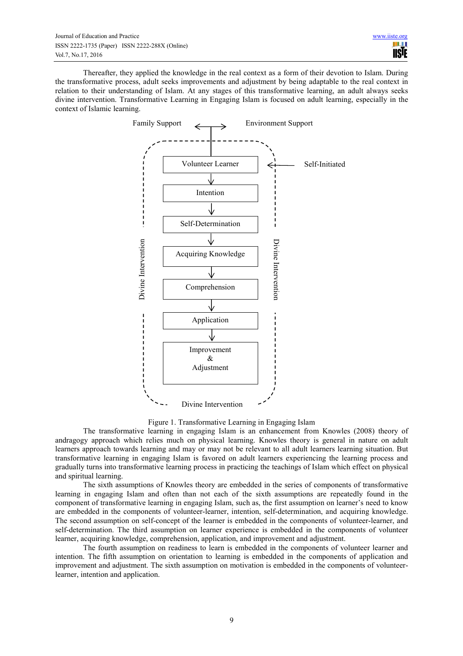Thereafter, they applied the knowledge in the real context as a form of their devotion to Islam. During the transformative process, adult seeks improvements and adjustment by being adaptable to the real context in relation to their understanding of Islam. At any stages of this transformative learning, an adult always seeks divine intervention. Transformative Learning in Engaging Islam is focused on adult learning, especially in the context of Islamic learning.



Figure 1. Transformative Learning in Engaging Islam

The transformative learning in engaging Islam is an enhancement from Knowles (2008) theory of andragogy approach which relies much on physical learning. Knowles theory is general in nature on adult learners approach towards learning and may or may not be relevant to all adult learners learning situation. But transformative learning in engaging Islam is favored on adult learners experiencing the learning process and gradually turns into transformative learning process in practicing the teachings of Islam which effect on physical and spiritual learning.

The sixth assumptions of Knowles theory are embedded in the series of components of transformative learning in engaging Islam and often than not each of the sixth assumptions are repeatedly found in the component of transformative learning in engaging Islam, such as, the first assumption on learner's need to know are embedded in the components of volunteer-learner, intention, self-determination, and acquiring knowledge. The second assumption on self-concept of the learner is embedded in the components of volunteer-learner, and self-determination. The third assumption on learner experience is embedded in the components of volunteer learner, acquiring knowledge, comprehension, application, and improvement and adjustment.

The fourth assumption on readiness to learn is embedded in the components of volunteer learner and intention. The fifth assumption on orientation to learning is embedded in the components of application and improvement and adjustment. The sixth assumption on motivation is embedded in the components of volunteerlearner, intention and application.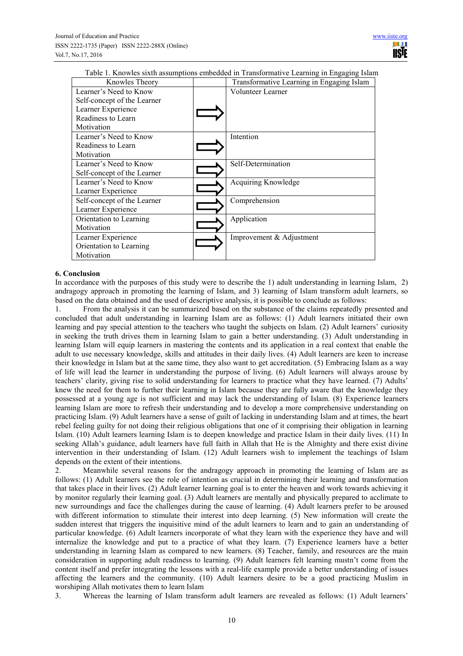Table 1. Knowles sixth assumptions embedded in Transformative Learning in Engaging Islam

| Knowles Theory              | Transformative Learning in Engaging Islam |
|-----------------------------|-------------------------------------------|
| Learner's Need to Know      | Volunteer Learner                         |
| Self-concept of the Learner |                                           |
| Learner Experience          |                                           |
| Readiness to Learn          |                                           |
| Motivation                  |                                           |
| Learner's Need to Know      | Intention                                 |
| Readiness to Learn          |                                           |
| Motivation                  |                                           |
| Learner's Need to Know      | Self-Determination                        |
| Self-concept of the Learner |                                           |
| Learner's Need to Know      | Acquiring Knowledge                       |
| Learner Experience          |                                           |
| Self-concept of the Learner | Comprehension                             |
| Learner Experience          |                                           |
| Orientation to Learning     | Application                               |
| Motivation                  |                                           |
| Learner Experience          | Improvement & Adjustment                  |
| Orientation to Learning     |                                           |
| Motivation                  |                                           |

## **6. Conclusion**

In accordance with the purposes of this study were to describe the 1) adult understanding in learning Islam, 2) andragogy approach in promoting the learning of Islam, and 3) learning of Islam transform adult learners, so based on the data obtained and the used of descriptive analysis, it is possible to conclude as follows:

1. From the analysis it can be summarized based on the substance of the claims repeatedly presented and concluded that adult understanding in learning Islam are as follows: (1) Adult learners initiated their own learning and pay special attention to the teachers who taught the subjects on Islam. (2) Adult learners' curiosity in seeking the truth drives them in learning Islam to gain a better understanding. (3) Adult understanding in learning Islam will equip learners in mastering the contents and its application in a real context that enable the adult to use necessary knowledge, skills and attitudes in their daily lives. (4) Adult learners are keen to increase their knowledge in Islam but at the same time, they also want to get accreditation. (5) Embracing Islam as a way of life will lead the learner in understanding the purpose of living. (6) Adult learners will always arouse by teachers' clarity, giving rise to solid understanding for learners to practice what they have learned. (7) Adults' knew the need for them to further their learning in Islam because they are fully aware that the knowledge they possessed at a young age is not sufficient and may lack the understanding of Islam. (8) Experience learners learning Islam are more to refresh their understanding and to develop a more comprehensive understanding on practicing Islam. (9) Adult learners have a sense of guilt of lacking in understanding Islam and at times, the heart rebel feeling guilty for not doing their religious obligations that one of it comprising their obligation in learning Islam. (10) Adult learners learning Islam is to deepen knowledge and practice Islam in their daily lives. (11) In seeking Allah's guidance, adult learners have full faith in Allah that He is the Almighty and there exist divine intervention in their understanding of Islam. (12) Adult learners wish to implement the teachings of Islam depends on the extent of their intentions.

2. Meanwhile several reasons for the andragogy approach in promoting the learning of Islam are as follows: (1) Adult learners see the role of intention as crucial in determining their learning and transformation that takes place in their lives. (2) Adult learner learning goal is to enter the heaven and work towards achieving it by monitor regularly their learning goal. (3) Adult learners are mentally and physically prepared to acclimate to new surroundings and face the challenges during the cause of learning. (4) Adult learners prefer to be aroused with different information to stimulate their interest into deep learning. (5) New information will create the sudden interest that triggers the inquisitive mind of the adult learners to learn and to gain an understanding of particular knowledge. (6) Adult learners incorporate of what they learn with the experience they have and will internalize the knowledge and put to a practice of what they learn. (7) Experience learners have a better understanding in learning Islam as compared to new learners. (8) Teacher, family, and resources are the main consideration in supporting adult readiness to learning. (9) Adult learners felt learning mustn't come from the content itself and prefer integrating the lessons with a real-life example provide a better understanding of issues affecting the learners and the community. (10) Adult learners desire to be a good practicing Muslim in worshiping Allah motivates them to learn Islam

3. Whereas the learning of Islam transform adult learners are revealed as follows: (1) Adult learners'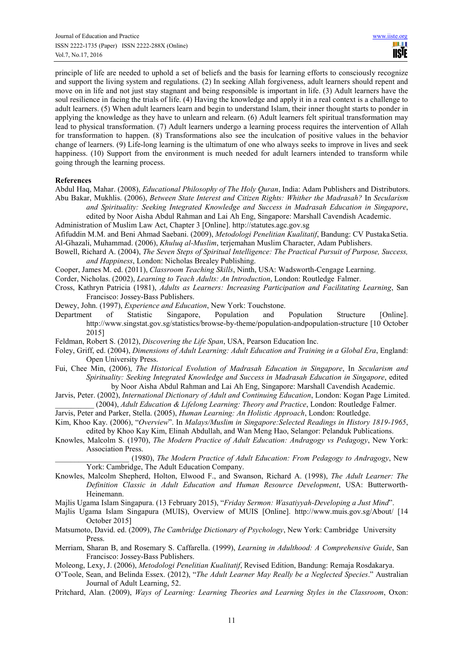principle of life are needed to uphold a set of beliefs and the basis for learning efforts to consciously recognize and support the living system and regulations. (2) In seeking Allah forgiveness, adult learners should repent and move on in life and not just stay stagnant and being responsible is important in life. (3) Adult learners have the soul resilience in facing the trials of life. (4) Having the knowledge and apply it in a real context is a challenge to adult learners. (5) When adult learners learn and begin to understand Islam, their inner thought starts to ponder in applying the knowledge as they have to unlearn and relearn. (6) Adult learners felt spiritual transformation may lead to physical transformation. (7) Adult learners undergo a learning process requires the intervention of Allah for transformation to happen. (8) Transformations also see the inculcation of positive values in the behavior change of learners. (9) Life-long learning is the ultimatum of one who always seeks to improve in lives and seek happiness. (10) Support from the environment is much needed for adult learners intended to transform while going through the learning process.

#### **References**

- Abdul Haq, Mahar. (2008), *Educational Philosophy of The Holy Quran*, India: Adam Publishers and Distributors. Abu Bakar, Mukhlis. (2006), *Between State Interest and Citizen Rights: Whither the Madrasah?* In *Secularism and Spirituality: Seeking Integrated Knowledge and Success in Madrasah Education in Singapore*, edited by Noor Aisha Abdul Rahman and Lai Ah Eng, Singapore: Marshall Cavendish Academic.
- Administration of Muslim Law Act, Chapter 3 [Online]. http://statutes.agc.gov.sg

Afifuddin M.M. and Beni Ahmad Saebani. (2009), *Metodologi Penelitian Kualitatif*, Bandung: CV Pustaka Setia. Al-Ghazali, Muhammad. (2006), *Khuluq al-Muslim*, terjemahan Muslim Character, Adam Publishers.

- Bowell, Richard A. (2004), *The Seven Steps of Spiritual Intelligence: The Practical Pursuit of Purpose, Success, and Happiness*, London: Nicholas Brealey Publishing.
- Cooper, James M. ed. (2011), *Classroom Teaching Skills*, Ninth, USA: Wadsworth-Cengage Learning.
- Corder, Nicholas. (2002), *Learning to Teach Adults: An Introduction*, London: Routledge Falmer.

Cross, Kathryn Patricia (1981), *Adults as Learners: Increasing Participation and Facilitating Learning*, San Francisco: Jossey-Bass Publishers.

Dewey, John. (1997), *Experience and Education*, New York: Touchstone.

- Department of Statistic Singapore, Population and Population Structure [Online]. http://www.singstat.gov.sg/statistics/browse-by-theme/population-andpopulation-structure [10 October 2015]
- Feldman, Robert S. (2012), *Discovering the Life Span*, USA, Pearson Education Inc.
- Foley, Griff, ed. (2004), *Dimensions of Adult Learning: Adult Education and Training in a Global Era*, England: Open University Press.
- Fui, Chee Min, (2006), *The Historical Evolution of Madrasah Education in Singapore*, In *Secularism and Spirituality: Seeking Integrated Knowledge and Success in Madrasah Education in Singapore*, edited by Noor Aisha Abdul Rahman and Lai Ah Eng, Singapore: Marshall Cavendish Academic.
- Jarvis, Peter. (2002), *International Dictionary of Adult and Continuing Education*, London: Kogan Page Limited. \_\_\_\_\_\_\_\_\_\_ (2004), *Adult Education & Lifelong Learning: Theory and Practice*, London: Routledge Falmer.

Jarvis, Peter and Parker, Stella. (2005), *Human Learning: An Holistic Approach*, London: Routledge.

- Kim, Khoo Kay. (2006), "*Overview*". In *Malays/Muslim in Singapore:Selected Readings in History 1819-1965*, edited by Khoo Kay Kim, Elinah Abdullah, and Wan Meng Hao, Selangor: Pelanduk Publications.
- Knowles, Malcolm S. (1970), *The Modern Practice of Adult Education: Andragogy vs Pedagogy*, New York: Association Press.

\_\_\_\_\_\_\_\_\_\_\_\_\_\_\_\_\_\_\_ (1980), *The Modern Practice of Adult Education: From Pedagogy to Andragogy*, New York: Cambridge, The Adult Education Company.

- Knowles, Malcolm Shepherd, Holton, Elwood F., and Swanson, Richard A. (1998), *The Adult Learner: The Definition Classic in Adult Education and Human Resource Development*, USA: Butterworth-Heinemann.
- Majlis Ugama Islam Singapura. (13 February 2015), "*Friday Sermon: Wasatiyyah-Developing a Just Mind*".
- Majlis Ugama Islam Singapura (MUIS), Overview of MUIS [Online]. http://www.muis.gov.sg/About/ [14 October 2015]
- Matsumoto, David. ed. (2009), *The Cambridge Dictionary of Psychology*, New York: Cambridge University Press.
- Merriam, Sharan B, and Rosemary S. Caffarella. (1999), *Learning in Adulthood: A Comprehensive Guide*, San Francisco: Jossey-Bass Publishers.

Moleong, Lexy, J. (2006), *Metodologi Penelitian Kualitatif*, Revised Edition, Bandung: Remaja Rosdakarya.

- O'Toole, Sean, and Belinda Essex. (2012), "*The Adult Learner May Really be a Neglected Species*." Australian Journal of Adult Learning, 52.
- Pritchard, Alan. (2009), *Ways of Learning: Learning Theories and Learning Styles in the Classroom*, Oxon: